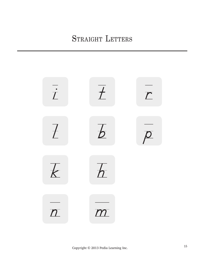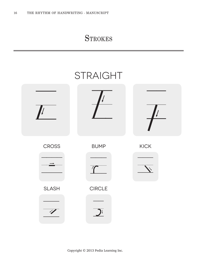## **STROKES**



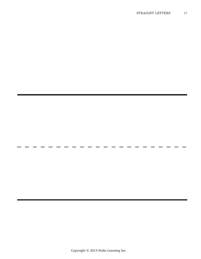Copyright © 2013 Pedia Learning Inc.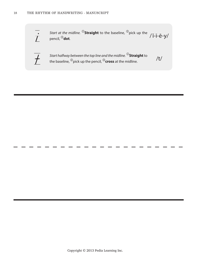

**i** Start at the midline. <sup>①</sup>Straight to the baseline, <sup>②</sup>pick up the pencil, <sup>③</sup>**dot**. pencil, <sup>3</sup>**dot**. *Straight* to the baseline, pick up the /i-i-e-y/<br>pencil, <sup>3</sup>**dot**.

**the Start halfway between the top line and the midline.** <sup>10</sup> **Straight** to the baseline, <sup>20</sup> pick up the pencil, <sup>30</sup> cross at the midline. Start nairway between the top line and the midline. Straight to  $\frac{1}{t}$  /t/<br>the baseline, <sup>20</sup> pick up the pencil, <sup>30</sup> cross at the midline.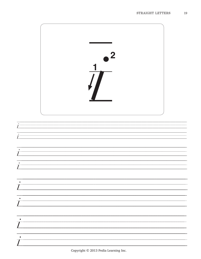|                             | $\boldsymbol{2}$ |  |
|-----------------------------|------------------|--|
| $\bullet$                   |                  |  |
| $\dot{r}$                   |                  |  |
|                             |                  |  |
| $\bullet$                   |                  |  |
| $\bullet$<br>$\overline{I}$ |                  |  |
|                             |                  |  |
| $\bullet$                   |                  |  |
|                             |                  |  |
| $\bullet$                   |                  |  |
|                             |                  |  |
| $\bullet$                   |                  |  |
|                             |                  |  |
| $\bullet$                   |                  |  |
|                             |                  |  |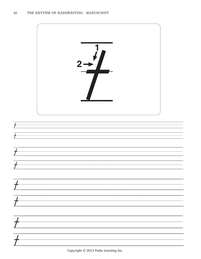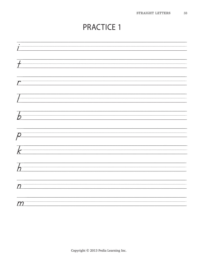### PRACTICE 1

| $\frac{1}{\sqrt{2}}$ |  |  |
|----------------------|--|--|
| $\mathcal{L}$        |  |  |
|                      |  |  |
| $\overline{b}$       |  |  |
| $\bm{\beta}$         |  |  |
| $\star$              |  |  |
| $\overline{h}$       |  |  |
| $\overline{n}$       |  |  |
| m                    |  |  |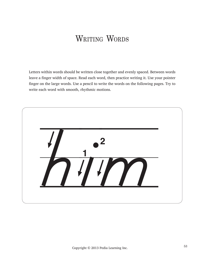## WRITING WORDS

Letters within words should be written close together and evenly spaced. Between words leave a finger width of space. Read each word, then practice writing it. Use your pointer finger on the large words. Use a pencil to write the words on the following pages. Try to write each word with smooth, rhythmic motions.

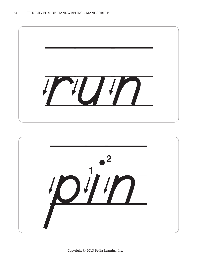

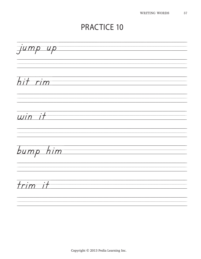#### PRACTICE 10

<u> 2000 - 2000 - 2000 - 2000 - 2000 - 2000 - 2000 - 2000 - 2000 - 2000 - 2000 - 2000 - 2000 - 2000 - 2000 - 200</u> jump up  $\overline{a}$ rim  $w$ in it bump him  $\overline{a}$  $\frac{1}{\text{rim}}$   $\frac{1}{\text{t}}$ 

 $\overline{a}$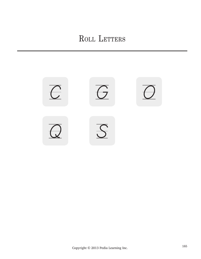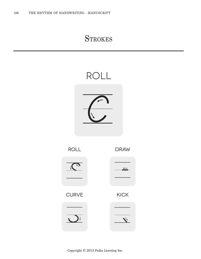# **STROKES**

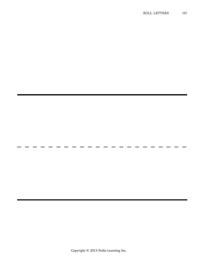Copyright © 2013 Pedia Learning Inc.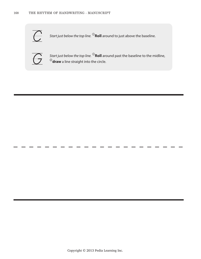

**C** Start just below the top line. <sup>1</sup>Roll around to just above the baseline.



Start just below the top line.  $\overset{\circ}{\mathbb{D}}$  **Roll** around past the baseline to the midline,<br> $\overset{\circ}{\mathbb{C}}$  **draw** a line straight into the circle. <sup>2</sup>**draw** a line straight into the circle.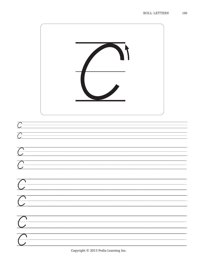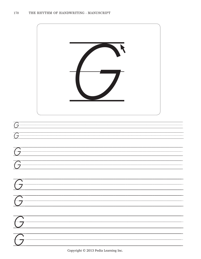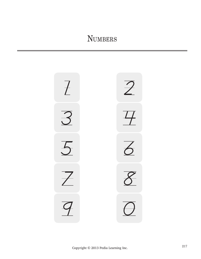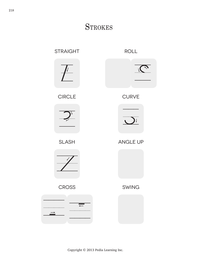#### **STROKES**

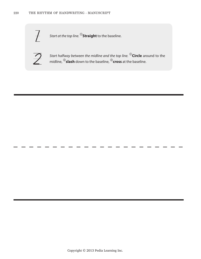$\overrightarrow{1}$  Start at the top line. <sup>10</sup> Straight to the baseline.



Start halfway between the midline and the top line. <sup>10</sup> Circle around to the midline, <sup>20</sup> slash down to the baseline, <sup>3</sup> cross at the baseline. midline, 2**slash** down to the baseline, 3**cross** at the baseline.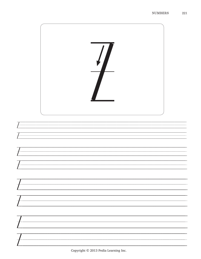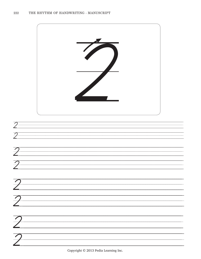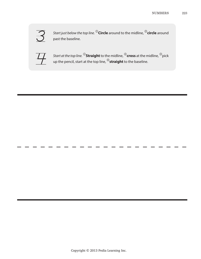Start just below the top line. <sup>10</sup> Circle around to the midline, <sup>20</sup> circle around past the baseline. past the baseline.



4 Start at the top line. <sup>1</sup>**Straight** to the midline, 2**cross** at the midline, 3pick up the pencil, start at the top line, 4**straight** to the baseline.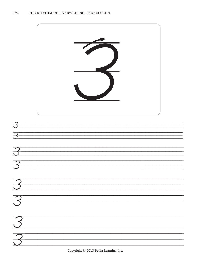